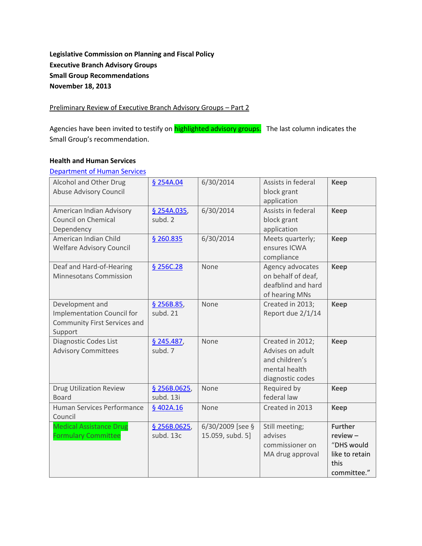### **Legislative Commission on Planning and Fiscal Policy Executive Branch Advisory Groups Small Group Recommendations November 18, 2013**

Preliminary Review of Executive Branch Advisory Groups – Part 2

Agencies have been invited to testify on **highlighted advisory groups.** The last column indicates the Small Group's recommendation.

#### **Health and Human Services**

| Department of Human Services                                                                    |                           |                                      |                                                                                             |                                                                                     |
|-------------------------------------------------------------------------------------------------|---------------------------|--------------------------------------|---------------------------------------------------------------------------------------------|-------------------------------------------------------------------------------------|
| Alcohol and Other Drug<br><b>Abuse Advisory Council</b>                                         | § 254A.04                 | 6/30/2014                            | Assists in federal<br>block grant<br>application                                            | <b>Keep</b>                                                                         |
| American Indian Advisory<br>Council on Chemical<br>Dependency                                   | § 254A.035,<br>subd. 2    | 6/30/2014                            | Assists in federal<br>block grant<br>application                                            | Keep                                                                                |
| American Indian Child<br><b>Welfare Advisory Council</b>                                        | \$260.835                 | 6/30/2014                            | Meets quarterly;<br>ensures ICWA<br>compliance                                              | Keep                                                                                |
| Deaf and Hard-of-Hearing<br>Minnesotans Commission                                              | § 256C.28                 | None                                 | Agency advocates<br>on behalf of deaf,<br>deafblind and hard<br>of hearing MNs              | Keep                                                                                |
| Development and<br><b>Implementation Council for</b><br>Community First Services and<br>Support | § 256B.85,<br>subd. 21    | None                                 | Created in 2013;<br>Report due 2/1/14                                                       | <b>Keep</b>                                                                         |
| Diagnostic Codes List<br><b>Advisory Committees</b>                                             | § 245.487,<br>subd. 7     | None                                 | Created in 2012;<br>Advises on adult<br>and children's<br>mental health<br>diagnostic codes | <b>Keep</b>                                                                         |
| <b>Drug Utilization Review</b><br><b>Board</b>                                                  | \$256B.0625,<br>subd. 13i | None                                 | Required by<br>federal law                                                                  | Keep                                                                                |
| Human Services Performance<br>Council                                                           | § 402A.16                 | None                                 | Created in 2013                                                                             | <b>Keep</b>                                                                         |
| <b>Medical Assistance Drug</b><br><b>Formulary Committee</b>                                    | \$256B.0625,<br>subd. 13c | 6/30/2009 [see §<br>15.059, subd. 5] | Still meeting;<br>advises<br>commissioner on<br>MA drug approval                            | <b>Further</b><br>$review -$<br>"DHS would<br>like to retain<br>this<br>committee." |

Department of Human Service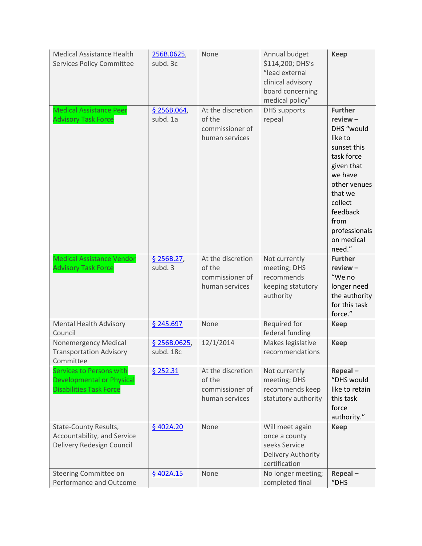| <b>Medical Assistance Health</b><br><b>Services Policy Committee</b>                           | 256B.0625,<br>subd. 3c    | None                                                             | Annual budget<br>\$114,200; DHS's<br>"lead external<br>clinical advisory<br>board concerning<br>medical policy" | <b>Keep</b>                                                                                                                                                                                                    |
|------------------------------------------------------------------------------------------------|---------------------------|------------------------------------------------------------------|-----------------------------------------------------------------------------------------------------------------|----------------------------------------------------------------------------------------------------------------------------------------------------------------------------------------------------------------|
| <b>Medical Assistance Peer</b><br><b>Advisory Task Force</b>                                   | \$256B.064,<br>subd. 1a   | At the discretion<br>of the<br>commissioner of<br>human services | <b>DHS</b> supports<br>repeal                                                                                   | <b>Further</b><br>$review -$<br>DHS "would<br>like to<br>sunset this<br>task force<br>given that<br>we have<br>other venues<br>that we<br>collect<br>feedback<br>from<br>professionals<br>on medical<br>need." |
| <b>Medical Assistance Vendor</b><br><b>Advisory Task Force</b>                                 | \$256B.27,<br>subd. 3     | At the discretion<br>of the<br>commissioner of<br>human services | Not currently<br>meeting; DHS<br>recommends<br>keeping statutory<br>authority                                   | <b>Further</b><br>$review -$<br>"We no<br>longer need<br>the authority<br>for this task<br>force."                                                                                                             |
| <b>Mental Health Advisory</b><br>Council                                                       | § 245.697                 | None                                                             | Required for<br>federal funding                                                                                 | <b>Keep</b>                                                                                                                                                                                                    |
| <b>Nonemergency Medical</b><br><b>Transportation Advisory</b><br>Committee                     | \$256B.0625,<br>subd. 18c | 12/1/2014                                                        | Makes legislative<br>recommendations                                                                            | <b>Keep</b>                                                                                                                                                                                                    |
| Services to Persons with<br><b>Developmental or Physical</b><br><b>Disabilities Task Force</b> | \$252.31                  | At the discretion<br>of the<br>commissioner of<br>human services | Not currently<br>meeting; DHS<br>recommends keep<br>statutory authority                                         | Repeal-<br>"DHS would<br>like to retain<br>this task<br>force<br>authority."                                                                                                                                   |
| State-County Results,<br>Accountability, and Service<br>Delivery Redesign Council              | § 402A.20                 | None                                                             | Will meet again<br>once a county<br>seeks Service<br>Delivery Authority<br>certification                        | <b>Keep</b>                                                                                                                                                                                                    |
| Steering Committee on<br>Performance and Outcome                                               | \$402A.15                 | None                                                             | No longer meeting;<br>completed final                                                                           | Repeal-<br>"DHS                                                                                                                                                                                                |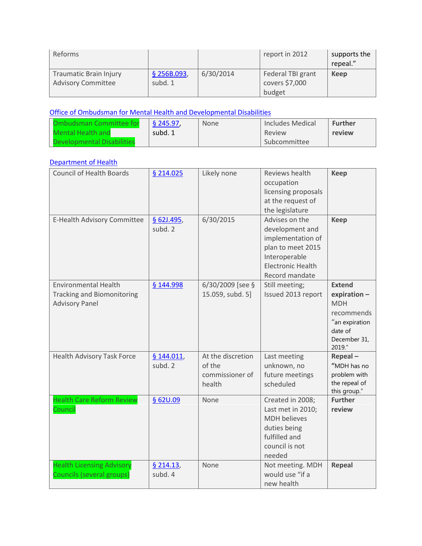| Reforms                                                    |                        |           | report in 2012                                | supports the<br>repeal." |
|------------------------------------------------------------|------------------------|-----------|-----------------------------------------------|--------------------------|
| <b>Traumatic Brain Injury</b><br><b>Advisory Committee</b> | \$256B.093,<br>subd. 1 | 6/30/2014 | Federal TBI grant<br>covers \$7,000<br>budget | Keep                     |

# [Office of Ombudsman for Mental Health and Developmental Disabilities](http://www.commissions.leg.state.mn.us/lcpfp/advisory_groups/2013/OmbudsmanforMentalHealthandDevelopmentalDisabilities.pdf)

| <b>Ombudsman Committee for</b> | \$245.97 | None | Includes Medical | <b>Further</b> |
|--------------------------------|----------|------|------------------|----------------|
| Mental Health and              | subd. 1  |      | Review           | review         |
| Developmental Disabilities     |          |      | Subcommittee     |                |

### [Department of Health](http://www.commissions.leg.state.mn.us/lcpfp/advisory_groups/2013/MDH_AdvisoryGroups.pdf)

| <b>Council of Health Boards</b>                                                           | § 214.025               | Likely none                                              | Reviews health<br>occupation<br>licensing proposals<br>at the request of<br>the legislature                                                | <b>Keep</b>                                                                                                      |
|-------------------------------------------------------------------------------------------|-------------------------|----------------------------------------------------------|--------------------------------------------------------------------------------------------------------------------------------------------|------------------------------------------------------------------------------------------------------------------|
| E-Health Advisory Committee                                                               | $§$ 62J.495,<br>subd. 2 | 6/30/2015                                                | Advises on the<br>development and<br>implementation of<br>plan to meet 2015<br>Interoperable<br><b>Electronic Health</b><br>Record mandate | <b>Keep</b>                                                                                                      |
| <b>Environmental Health</b><br><b>Tracking and Biomonitoring</b><br><b>Advisory Panel</b> | § 144.998               | 6/30/2009 [see §<br>15.059, subd. 5]                     | Still meeting;<br>Issued 2013 report                                                                                                       | <b>Extend</b><br>expiration -<br><b>MDH</b><br>recommends<br>"an expiration<br>date of<br>December 31,<br>2019." |
| <b>Health Advisory Task Force</b>                                                         | § 144.011,<br>subd. 2   | At the discretion<br>of the<br>commissioner of<br>health | Last meeting<br>unknown, no<br>future meetings<br>scheduled                                                                                | Repeal-<br>"MDH has no<br>problem with<br>the repeal of<br>this group."                                          |
| <b>Health Care Reform Review</b><br>Council                                               | \$620.09                | None                                                     | Created in 2008;<br>Last met in 2010;<br><b>MDH</b> believes<br>duties being<br>fulfilled and<br>council is not<br>needed                  | <b>Further</b><br>review                                                                                         |
| <b>Health Licensing Advisory</b><br><b>Councils (several groups)</b>                      | \$214.13,<br>subd. 4    | None                                                     | Not meeting. MDH<br>would use "if a<br>new health                                                                                          | <b>Repeal</b>                                                                                                    |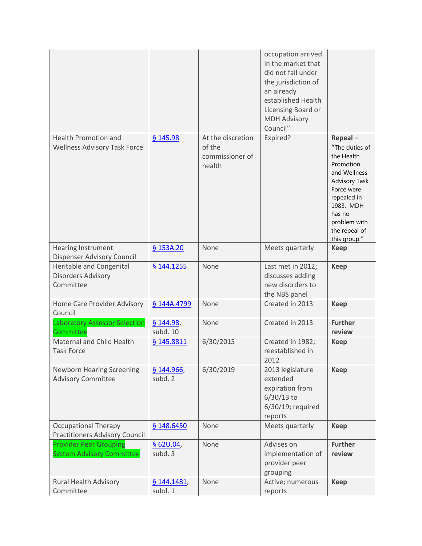|                                                                      |                        |                                                          | occupation arrived<br>in the market that<br>did not fall under<br>the jurisdiction of<br>an already<br>established Health<br>Licensing Board or<br><b>MDH Advisory</b><br>Council" |                                                                                                                                                                                                   |
|----------------------------------------------------------------------|------------------------|----------------------------------------------------------|------------------------------------------------------------------------------------------------------------------------------------------------------------------------------------|---------------------------------------------------------------------------------------------------------------------------------------------------------------------------------------------------|
| <b>Health Promotion and</b><br><b>Wellness Advisory Task Force</b>   | \$145.98               | At the discretion<br>of the<br>commissioner of<br>health | Expired?                                                                                                                                                                           | Repeal-<br>"The duties of<br>the Health<br>Promotion<br>and Wellness<br><b>Advisory Task</b><br>Force were<br>repealed in<br>1983. MDH<br>has no<br>problem with<br>the repeal of<br>this group." |
| <b>Hearing Instrument</b><br>Dispenser Advisory Council              | § 153A.20              | None                                                     | Meets quarterly                                                                                                                                                                    | <b>Keep</b>                                                                                                                                                                                       |
| Heritable and Congenital<br><b>Disorders Advisory</b><br>Committee   | § 144.1255             | None                                                     | Last met in 2012;<br>discusses adding<br>new disorders to<br>the NBS panel                                                                                                         | <b>Keep</b>                                                                                                                                                                                       |
| Home Care Provider Advisory<br>Council                               | § 144A.4799            | None                                                     | Created in 2013                                                                                                                                                                    | <b>Keep</b>                                                                                                                                                                                       |
| <b>Laboratory Assessor Selection</b><br>Committee                    | \$144.98,<br>subd. 10  | None                                                     | Created in 2013                                                                                                                                                                    | <b>Further</b><br>review                                                                                                                                                                          |
| Maternal and Child Health<br><b>Task Force</b>                       | § 145.8811             | 6/30/2015                                                | Created in 1982;<br>reestablished in<br>2012                                                                                                                                       | <b>Keep</b>                                                                                                                                                                                       |
| <b>Newborn Hearing Screening</b><br><b>Advisory Committee</b>        | \$144.966<br>subd. 2   | 6/30/2019                                                | 2013 legislature<br>extended<br>expiration from<br>$6/30/13$ to<br>6/30/19; required<br>reports                                                                                    | <b>Keep</b>                                                                                                                                                                                       |
| <b>Occupational Therapy</b><br><b>Practitioners Advisory Council</b> | § 148.6450             | None                                                     | Meets quarterly                                                                                                                                                                    | <b>Keep</b>                                                                                                                                                                                       |
| <b>Provider Peer Grouping</b><br><b>System Advisory Committee</b>    | \$62U.04,<br>subd. 3   | None                                                     | Advises on<br>implementation of<br>provider peer<br>grouping                                                                                                                       | <b>Further</b><br>review                                                                                                                                                                          |
| Rural Health Advisory<br>Committee                                   | § 144.1481,<br>subd. 1 | None                                                     | Active; numerous<br>reports                                                                                                                                                        | <b>Keep</b>                                                                                                                                                                                       |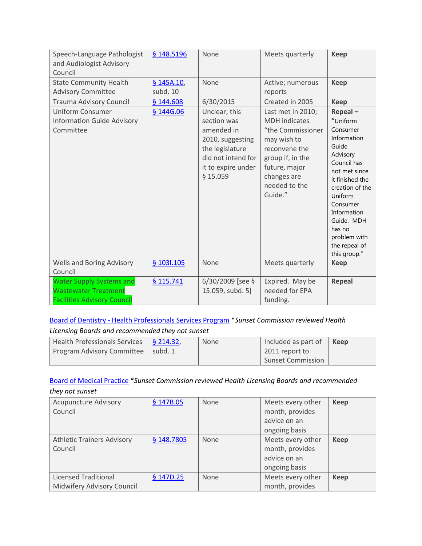| Speech-Language Pathologist<br>and Audiologist Advisory<br>Council                                   | § 148.5196             | None                                                                                                                                      | Meets quarterly                                                                                                                                                                | <b>Keep</b>                                                                                                                                                                                                                                              |
|------------------------------------------------------------------------------------------------------|------------------------|-------------------------------------------------------------------------------------------------------------------------------------------|--------------------------------------------------------------------------------------------------------------------------------------------------------------------------------|----------------------------------------------------------------------------------------------------------------------------------------------------------------------------------------------------------------------------------------------------------|
| <b>State Community Health</b><br><b>Advisory Committee</b>                                           | § 145A.10,<br>subd. 10 | None                                                                                                                                      | Active; numerous<br>reports                                                                                                                                                    | <b>Keep</b>                                                                                                                                                                                                                                              |
| <b>Trauma Advisory Council</b>                                                                       | § 144.608              | 6/30/2015                                                                                                                                 | Created in 2005                                                                                                                                                                | <b>Keep</b>                                                                                                                                                                                                                                              |
| <b>Uniform Consumer</b><br><b>Information Guide Advisory</b><br>Committee                            | § 144G.06              | Unclear; this<br>section was<br>amended in<br>2010, suggesting<br>the legislature<br>did not intend for<br>it to expire under<br>\$15.059 | Last met in 2010;<br><b>MDH</b> indicates<br>"the Commissioner<br>may wish to<br>reconvene the<br>group if, in the<br>future, major<br>changes are<br>needed to the<br>Guide." | Repeal-<br>"Uniform<br>Consumer<br>Information<br>Guide<br>Advisory<br>Council has<br>not met since<br>it finished the<br>creation of the<br>Uniform<br>Consumer<br>Information<br>Guide. MDH<br>has no<br>problem with<br>the repeal of<br>this group." |
| Wells and Boring Advisory<br>Council                                                                 | § 103I.105             | None                                                                                                                                      | Meets quarterly                                                                                                                                                                | <b>Keep</b>                                                                                                                                                                                                                                              |
| <b>Water Supply Systems and</b><br><b>Wastewater Treatment</b><br><b>Facilities Advisory Council</b> | § 115.741              | $6/30/2009$ [see §<br>15.059, subd. 5]                                                                                                    | Expired. May be<br>needed for EPA<br>funding.                                                                                                                                  | <b>Repeal</b>                                                                                                                                                                                                                                            |

# Board of Dentistry - [Health Professionals Services Program](http://www.commissions.leg.state.mn.us/lcpfp/advisory_groups/2013/BOD_HealthProfessionalsServicesProgram.pdf) \**Sunset Commission reviewed Health*

# *Licensing Boards and recommended they not sunset*

| $\vert$ Health Professionals Services $\vert$ § 214.32, | <b>None</b> | Included as part of      | Keep |
|---------------------------------------------------------|-------------|--------------------------|------|
| Program Advisory Committee   subd. 1                    |             | 2011 report to           |      |
|                                                         |             | <b>Sunset Commission</b> |      |

## [Board of Medical Practice](http://www.commissions.leg.state.mn.us/lcpfp/advisory_groups/2013/BMP_AdvisoryGroups.pdf) \**Sunset Commission reviewed Health Licensing Boards and recommended they not sunset*

| <b>Acupuncture Advisory</b><br>Council                    | § 147B.05  | None | Meets every other<br>month, provides<br>advice on an<br>ongoing basis | <b>Keep</b> |
|-----------------------------------------------------------|------------|------|-----------------------------------------------------------------------|-------------|
| <b>Athletic Trainers Advisory</b><br>Council              | § 148.7805 | None | Meets every other<br>month, provides<br>advice on an<br>ongoing basis | <b>Keep</b> |
| <b>Licensed Traditional</b><br>Midwifery Advisory Council | § 147D.25  | None | Meets every other<br>month, provides                                  | <b>Keep</b> |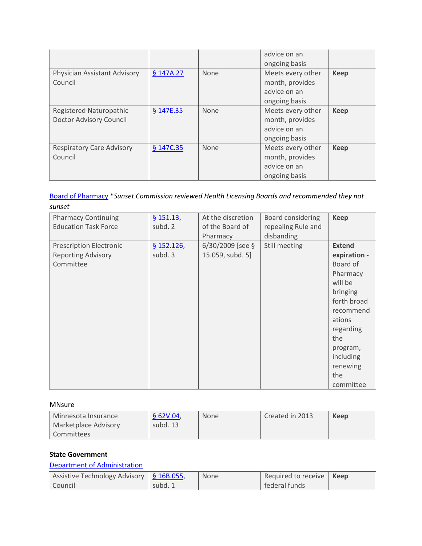|                                                    |           |      | advice on an<br>ongoing basis                                         |             |
|----------------------------------------------------|-----------|------|-----------------------------------------------------------------------|-------------|
| Physician Assistant Advisory<br>Council            | § 147A.27 | None | Meets every other<br>month, provides<br>advice on an<br>ongoing basis | <b>Keep</b> |
| Registered Naturopathic<br>Doctor Advisory Council | § 147E.35 | None | Meets every other<br>month, provides<br>advice on an<br>ongoing basis | <b>Keep</b> |
| <b>Respiratory Care Advisory</b><br>Council        | § 147C.35 | None | Meets every other<br>month, provides<br>advice on an<br>ongoing basis | <b>Keep</b> |

[Board of Pharmacy](http://www.commissions.leg.state.mn.us/lcpfp/advisory_groups/2013/Pharmacy_AdvisoryGroups.pdf) \**Sunset Commission reviewed Health Licensing Boards and recommended they not sunset*

| <b>Pharmacy Continuing</b><br><b>Education Task Force</b>                | \$151.13<br>subd. 2   | At the discretion<br>of the Board of<br>Pharmacy | Board considering<br>repealing Rule and<br>disbanding | <b>Keep</b>                                                                                                                                                                                     |
|--------------------------------------------------------------------------|-----------------------|--------------------------------------------------|-------------------------------------------------------|-------------------------------------------------------------------------------------------------------------------------------------------------------------------------------------------------|
| <b>Prescription Electronic</b><br><b>Reporting Advisory</b><br>Committee | \$152.126,<br>subd. 3 | $6/30/2009$ [see §<br>15.059, subd. 5]           | Still meeting                                         | <b>Extend</b><br>expiration -<br>Board of<br>Pharmacy<br>will be<br>bringing<br>forth broad<br>recommend<br>ations<br>regarding<br>the<br>program,<br>including<br>renewing<br>the<br>committee |

MNsure

| Minnesota Insurance  | \$62V.04 | None | Created in 2013 | Keep |
|----------------------|----------|------|-----------------|------|
| Marketplace Advisory | subd. 13 |      |                 |      |
| Committees           |          |      |                 |      |

#### **State Government**

## [Department of Administration](http://www.commissions.leg.state.mn.us/lcpfp/advisory_groups/2013/Admin_AdvisoryGroups.pdf)

| Assistive Technology Advisory $\frac{1}{9}$ 16B.055, |         | None | Required to receive   Keep |  |
|------------------------------------------------------|---------|------|----------------------------|--|
| Council                                              | subd. 1 |      | federal funds              |  |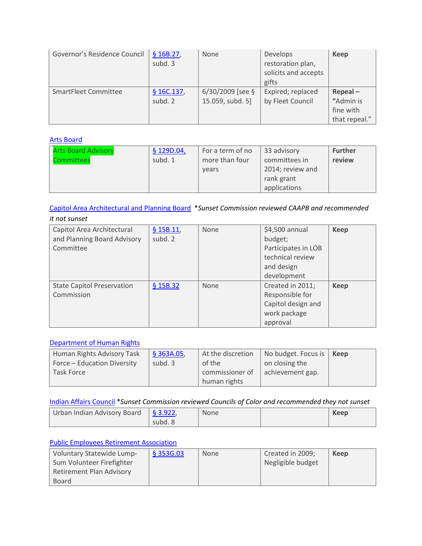| Governor's Residence Council | \$16B.27,<br>subd. 3  | None               | Develops<br>restoration plan,<br>solicits and accepts<br>gifts | <b>Keep</b>             |
|------------------------------|-----------------------|--------------------|----------------------------------------------------------------|-------------------------|
| SmartFleet Committee         | \$16C.137,<br>subd. 2 | $6/30/2009$ [see § | Expired; replaced                                              | $Repeal -$<br>"Admin is |
|                              |                       | 15.059, subd. 5]   | by Fleet Council                                               | fine with               |
|                              |                       |                    |                                                                | that repeal."           |

#### [Arts Board](http://www.commissions.leg.state.mn.us/lcpfp/advisory_groups/2013/SAB_AdvisoryGroups.pdf)

| <b>Arts Board Advisory</b> | \$129D.04, | For a term of no | 33 advisory      | <b>Further</b> |
|----------------------------|------------|------------------|------------------|----------------|
| Committees                 | subd. 1    | more than four   | committees in    | review         |
|                            |            | years            | 2014; review and |                |
|                            |            |                  | rank grant       |                |
|                            |            |                  | applications     |                |

#### [Capitol Area Architectural and Planning Board](http://www.commissions.leg.state.mn.us/lcpfp/advisory_groups/2013/CAAPB_AdvisoryGroups.pdf) \**Sunset Commission reviewed CAAPB and recommended*

| it not sunset                                                          |                      |      |                                                                                                   |             |
|------------------------------------------------------------------------|----------------------|------|---------------------------------------------------------------------------------------------------|-------------|
| Capitol Area Architectural<br>and Planning Board Advisory<br>Committee | \$15B.11,<br>subd. 2 | None | \$4,500 annual<br>budget;<br>Participates in LOB<br>technical review<br>and design<br>development | <b>Keep</b> |
| <b>State Capitol Preservation</b><br>Commission                        | \$15B.32             | None | Created in 2011;<br>Responsible for<br>Capitol design and<br>work package<br>approval             | <b>Keep</b> |

#### [Department of Human Rights](http://www.commissions.leg.state.mn.us/lcpfp/advisory_groups/2013/MDHR_AdvisoryGroups.pdf)

| Human Rights Advisory Task  | \$363A.05 | At the discretion | No budget. Focus is | Keep |
|-----------------------------|-----------|-------------------|---------------------|------|
| Force - Education Diversity | subd. 3   | of the            | on closing the      |      |
| Task Force                  |           | commissioner of   | achievement gap.    |      |
|                             |           | human rights      |                     |      |

[Indian Affairs Council](http://www.commissions.leg.state.mn.us/lcpfp/advisory_groups/2013/MIAC_AdvisoryGroups.pdf) \**Sunset Commission reviewed Councils of Color and recommended they not sunset*

| Urban Indian Advisory Board | $\sqrt{53.922}$ | <b>None</b> | Keep |
|-----------------------------|-----------------|-------------|------|
|                             | subd. 8         |             |      |

#### [Public Employees Retirement Association](http://www.commissions.leg.state.mn.us/lcpfp/advisory_groups/2013/PERA_AdvisoryGroups.pdf)

| Voluntary Statewide Lump-       | \$353G.03 | None | Created in 2009;  | Keep |
|---------------------------------|-----------|------|-------------------|------|
| Sum Volunteer Firefighter       |           |      | Negligible budget |      |
| <b>Retirement Plan Advisory</b> |           |      |                   |      |
| Board                           |           |      |                   |      |